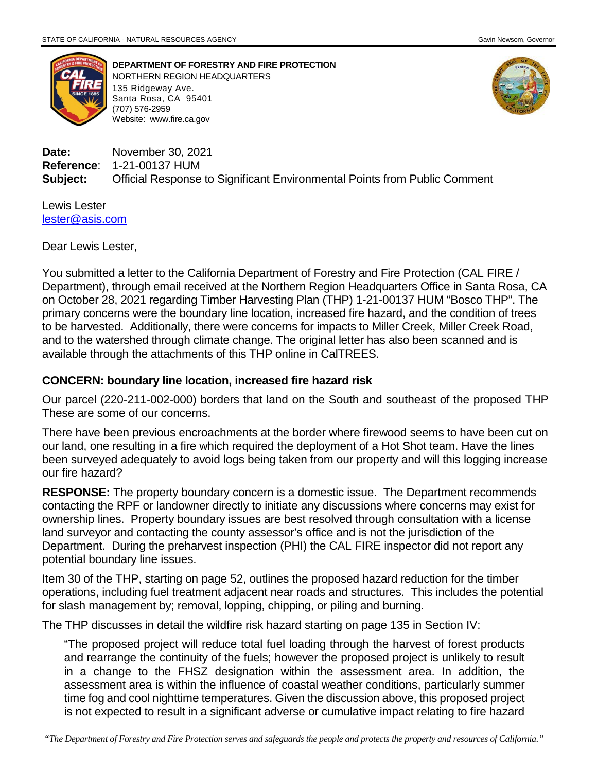

**DEPARTMENT OF FORESTRY AND FIRE PROTECTION** NORTHERN REGION HEADQUARTERS 135 Ridgeway Ave. Santa Rosa, CA 95401 (707) 576-2959 Website: [www.fire.ca.gov](http://www.fire.ca.gov/)



**Date:** November 30, 2021 **Reference**: 1-21-00137 HUM **Subject:** Official Response to Significant Environmental Points from Public Comment

Lewis Lester [lester@asis.com](mailto:lester@asis.com)

Dear Lewis Lester,

You submitted a letter to the California Department of Forestry and Fire Protection (CAL FIRE / Department), through email received at the Northern Region Headquarters Office in Santa Rosa, CA on October 28, 2021 regarding Timber Harvesting Plan (THP) 1-21-00137 HUM "Bosco THP". The primary concerns were the boundary line location, increased fire hazard, and the condition of trees to be harvested. Additionally, there were concerns for impacts to Miller Creek, Miller Creek Road, and to the watershed through climate change. The original letter has also been scanned and is available through the attachments of this THP online in CalTREES.

## **CONCERN: boundary line location, increased fire hazard risk**

Our parcel (220-211-002-000) borders that land on the South and southeast of the proposed THP These are some of our concerns.

There have been previous encroachments at the border where firewood seems to have been cut on our land, one resulting in a fire which required the deployment of a Hot Shot team. Have the lines been surveyed adequately to avoid logs being taken from our property and will this logging increase our fire hazard?

**RESPONSE:** The property boundary concern is a domestic issue. The Department recommends contacting the RPF or landowner directly to initiate any discussions where concerns may exist for ownership lines. Property boundary issues are best resolved through consultation with a license land surveyor and contacting the county assessor's office and is not the jurisdiction of the Department. During the preharvest inspection (PHI) the CAL FIRE inspector did not report any potential boundary line issues.

Item 30 of the THP, starting on page 52, outlines the proposed hazard reduction for the timber operations, including fuel treatment adjacent near roads and structures. This includes the potential for slash management by; removal, lopping, chipping, or piling and burning.

The THP discusses in detail the wildfire risk hazard starting on page 135 in Section IV:

"The proposed project will reduce total fuel loading through the harvest of forest products and rearrange the continuity of the fuels; however the proposed project is unlikely to result in a change to the FHSZ designation within the assessment area. In addition, the assessment area is within the influence of coastal weather conditions, particularly summer time fog and cool nighttime temperatures. Given the discussion above, this proposed project is not expected to result in a significant adverse or cumulative impact relating to fire hazard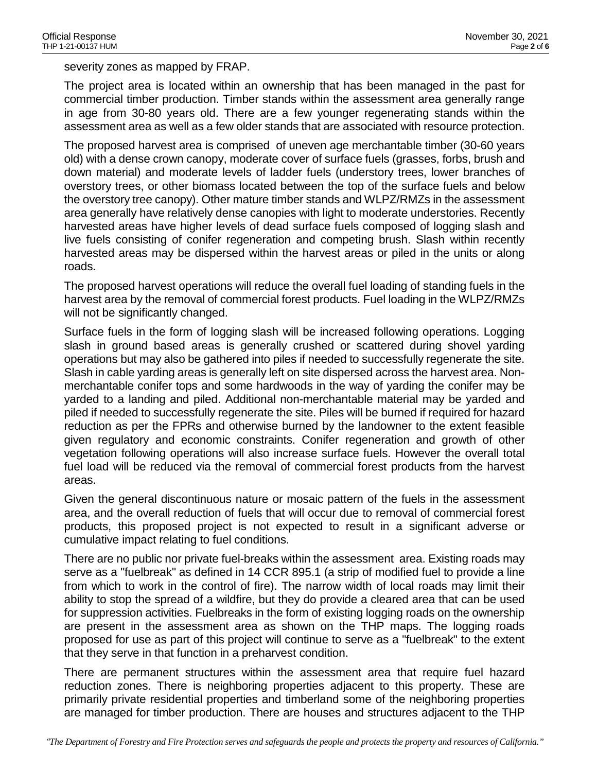severity zones as mapped by FRAP.

The project area is located within an ownership that has been managed in the past for commercial timber production. Timber stands within the assessment area generally range in age from 30-80 years old. There are a few younger regenerating stands within the assessment area as well as a few older stands that are associated with resource protection.

The proposed harvest area is comprised of uneven age merchantable timber (30-60 years old) with a dense crown canopy, moderate cover of surface fuels (grasses, forbs, brush and down material) and moderate levels of ladder fuels (understory trees, lower branches of overstory trees, or other biomass located between the top of the surface fuels and below the overstory tree canopy). Other mature timber stands and WLPZ/RMZs in the assessment area generally have relatively dense canopies with light to moderate understories. Recently harvested areas have higher levels of dead surface fuels composed of logging slash and live fuels consisting of conifer regeneration and competing brush. Slash within recently harvested areas may be dispersed within the harvest areas or piled in the units or along roads.

The proposed harvest operations will reduce the overall fuel loading of standing fuels in the harvest area by the removal of commercial forest products. Fuel loading in the WLPZ/RMZs will not be significantly changed.

Surface fuels in the form of logging slash will be increased following operations. Logging slash in ground based areas is generally crushed or scattered during shovel yarding operations but may also be gathered into piles if needed to successfully regenerate the site. Slash in cable yarding areas is generally left on site dispersed across the harvest area. Nonmerchantable conifer tops and some hardwoods in the way of yarding the conifer may be yarded to a landing and piled. Additional non-merchantable material may be yarded and piled if needed to successfully regenerate the site. Piles will be burned if required for hazard reduction as per the FPRs and otherwise burned by the landowner to the extent feasible given regulatory and economic constraints. Conifer regeneration and growth of other vegetation following operations will also increase surface fuels. However the overall total fuel load will be reduced via the removal of commercial forest products from the harvest areas.

Given the general discontinuous nature or mosaic pattern of the fuels in the assessment area, and the overall reduction of fuels that will occur due to removal of commercial forest products, this proposed project is not expected to result in a significant adverse or cumulative impact relating to fuel conditions.

There are no public nor private fuel-breaks within the assessment area. Existing roads may serve as a "fuelbreak" as defined in 14 CCR 895.1 (a strip of modified fuel to provide a line from which to work in the control of fire). The narrow width of local roads may limit their ability to stop the spread of a wildfire, but they do provide a cleared area that can be used for suppression activities. Fuelbreaks in the form of existing logging roads on the ownership are present in the assessment area as shown on the THP maps. The logging roads proposed for use as part of this project will continue to serve as a "fuelbreak" to the extent that they serve in that function in a preharvest condition.

There are permanent structures within the assessment area that require fuel hazard reduction zones. There is neighboring properties adjacent to this property. These are primarily private residential properties and timberland some of the neighboring properties are managed for timber production. There are houses and structures adjacent to the THP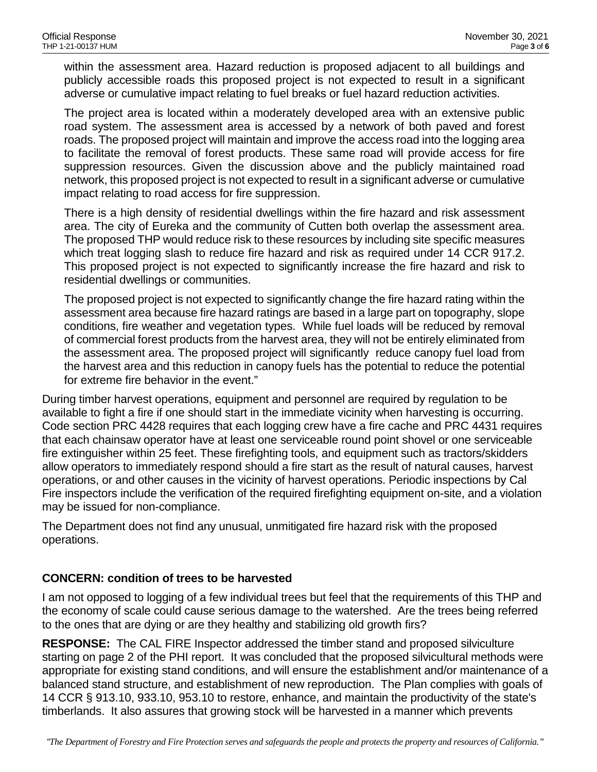within the assessment area. Hazard reduction is proposed adjacent to all buildings and publicly accessible roads this proposed project is not expected to result in a significant adverse or cumulative impact relating to fuel breaks or fuel hazard reduction activities.

The project area is located within a moderately developed area with an extensive public road system. The assessment area is accessed by a network of both paved and forest roads. The proposed project will maintain and improve the access road into the logging area to facilitate the removal of forest products. These same road will provide access for fire suppression resources. Given the discussion above and the publicly maintained road network, this proposed project is not expected to result in a significant adverse or cumulative impact relating to road access for fire suppression.

There is a high density of residential dwellings within the fire hazard and risk assessment area. The city of Eureka and the community of Cutten both overlap the assessment area. The proposed THP would reduce risk to these resources by including site specific measures which treat logging slash to reduce fire hazard and risk as required under 14 CCR 917.2. This proposed project is not expected to significantly increase the fire hazard and risk to residential dwellings or communities.

The proposed project is not expected to significantly change the fire hazard rating within the assessment area because fire hazard ratings are based in a large part on topography, slope conditions, fire weather and vegetation types. While fuel loads will be reduced by removal of commercial forest products from the harvest area, they will not be entirely eliminated from the assessment area. The proposed project will significantly reduce canopy fuel load from the harvest area and this reduction in canopy fuels has the potential to reduce the potential for extreme fire behavior in the event."

During timber harvest operations, equipment and personnel are required by regulation to be available to fight a fire if one should start in the immediate vicinity when harvesting is occurring. Code section PRC 4428 requires that each logging crew have a fire cache and PRC 4431 requires that each chainsaw operator have at least one serviceable round point shovel or one serviceable fire extinguisher within 25 feet. These firefighting tools, and equipment such as tractors/skidders allow operators to immediately respond should a fire start as the result of natural causes, harvest operations, or and other causes in the vicinity of harvest operations. Periodic inspections by Cal Fire inspectors include the verification of the required firefighting equipment on-site, and a violation may be issued for non-compliance.

The Department does not find any unusual, unmitigated fire hazard risk with the proposed operations.

# **CONCERN: condition of trees to be harvested**

I am not opposed to logging of a few individual trees but feel that the requirements of this THP and the economy of scale could cause serious damage to the watershed. Are the trees being referred to the ones that are dying or are they healthy and stabilizing old growth firs?

**RESPONSE:** The CAL FIRE Inspector addressed the timber stand and proposed silviculture starting on page 2 of the PHI report. It was concluded that the proposed silvicultural methods were appropriate for existing stand conditions, and will ensure the establishment and/or maintenance of a balanced stand structure, and establishment of new reproduction. The Plan complies with goals of 14 CCR § 913.10, 933.10, 953.10 to restore, enhance, and maintain the productivity of the state's timberlands. It also assures that growing stock will be harvested in a manner which prevents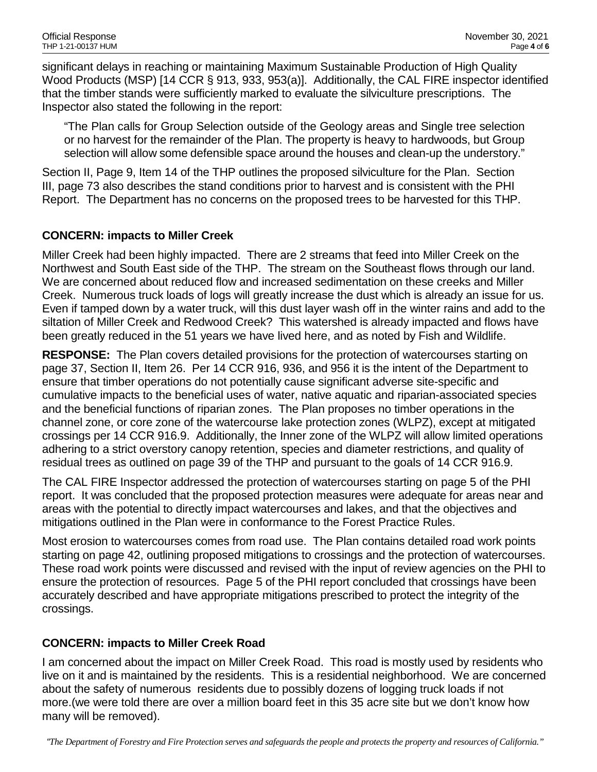significant delays in reaching or maintaining Maximum Sustainable Production of High Quality Wood Products (MSP) [14 CCR § 913, 933, 953(a)]. Additionally, the CAL FIRE inspector identified that the timber stands were sufficiently marked to evaluate the silviculture prescriptions. The Inspector also stated the following in the report:

"The Plan calls for Group Selection outside of the Geology areas and Single tree selection or no harvest for the remainder of the Plan. The property is heavy to hardwoods, but Group selection will allow some defensible space around the houses and clean-up the understory."

Section II, Page 9, Item 14 of the THP outlines the proposed silviculture for the Plan. Section III, page 73 also describes the stand conditions prior to harvest and is consistent with the PHI Report. The Department has no concerns on the proposed trees to be harvested for this THP.

## **CONCERN: impacts to Miller Creek**

Miller Creek had been highly impacted. There are 2 streams that feed into Miller Creek on the Northwest and South East side of the THP. The stream on the Southeast flows through our land. We are concerned about reduced flow and increased sedimentation on these creeks and Miller Creek. Numerous truck loads of logs will greatly increase the dust which is already an issue for us. Even if tamped down by a water truck, will this dust layer wash off in the winter rains and add to the siltation of Miller Creek and Redwood Creek? This watershed is already impacted and flows have been greatly reduced in the 51 years we have lived here, and as noted by Fish and Wildlife.

**RESPONSE:** The Plan covers detailed provisions for the protection of watercourses starting on page 37, Section II, Item 26. Per 14 CCR 916, 936, and 956 it is the intent of the Department to ensure that timber operations do not potentially cause significant adverse site-specific and cumulative impacts to the beneficial uses of water, native aquatic and riparian-associated species and the beneficial functions of riparian zones. The Plan proposes no timber operations in the channel zone, or core zone of the watercourse lake protection zones (WLPZ), except at mitigated crossings per 14 CCR 916.9. Additionally, the Inner zone of the WLPZ will allow limited operations adhering to a strict overstory canopy retention, species and diameter restrictions, and quality of residual trees as outlined on page 39 of the THP and pursuant to the goals of 14 CCR 916.9.

The CAL FIRE Inspector addressed the protection of watercourses starting on page 5 of the PHI report. It was concluded that the proposed protection measures were adequate for areas near and areas with the potential to directly impact watercourses and lakes, and that the objectives and mitigations outlined in the Plan were in conformance to the Forest Practice Rules.

Most erosion to watercourses comes from road use. The Plan contains detailed road work points starting on page 42, outlining proposed mitigations to crossings and the protection of watercourses. These road work points were discussed and revised with the input of review agencies on the PHI to ensure the protection of resources. Page 5 of the PHI report concluded that crossings have been accurately described and have appropriate mitigations prescribed to protect the integrity of the crossings.

### **CONCERN: impacts to Miller Creek Road**

I am concerned about the impact on Miller Creek Road. This road is mostly used by residents who live on it and is maintained by the residents. This is a residential neighborhood. We are concerned about the safety of numerous residents due to possibly dozens of logging truck loads if not more.(we were told there are over a million board feet in this 35 acre site but we don't know how many will be removed).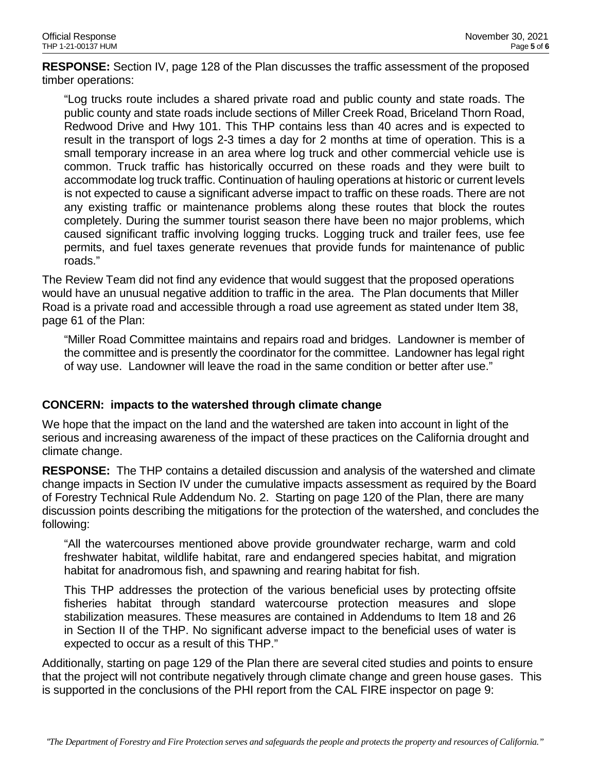**RESPONSE:** Section IV, page 128 of the Plan discusses the traffic assessment of the proposed timber operations:

"Log trucks route includes a shared private road and public county and state roads. The public county and state roads include sections of Miller Creek Road, Briceland Thorn Road, Redwood Drive and Hwy 101. This THP contains less than 40 acres and is expected to result in the transport of logs 2-3 times a day for 2 months at time of operation. This is a small temporary increase in an area where log truck and other commercial vehicle use is common. Truck traffic has historically occurred on these roads and they were built to accommodate log truck traffic. Continuation of hauling operations at historic or current levels is not expected to cause a significant adverse impact to traffic on these roads. There are not any existing traffic or maintenance problems along these routes that block the routes completely. During the summer tourist season there have been no major problems, which caused significant traffic involving logging trucks. Logging truck and trailer fees, use fee permits, and fuel taxes generate revenues that provide funds for maintenance of public roads."

The Review Team did not find any evidence that would suggest that the proposed operations would have an unusual negative addition to traffic in the area. The Plan documents that Miller Road is a private road and accessible through a road use agreement as stated under Item 38, page 61 of the Plan:

"Miller Road Committee maintains and repairs road and bridges. Landowner is member of the committee and is presently the coordinator for the committee. Landowner has legal right of way use. Landowner will leave the road in the same condition or better after use."

# **CONCERN: impacts to the watershed through climate change**

We hope that the impact on the land and the watershed are taken into account in light of the serious and increasing awareness of the impact of these practices on the California drought and climate change.

**RESPONSE:** The THP contains a detailed discussion and analysis of the watershed and climate change impacts in Section IV under the cumulative impacts assessment as required by the Board of Forestry Technical Rule Addendum No. 2. Starting on page 120 of the Plan, there are many discussion points describing the mitigations for the protection of the watershed, and concludes the following:

"All the watercourses mentioned above provide groundwater recharge, warm and cold freshwater habitat, wildlife habitat, rare and endangered species habitat, and migration habitat for anadromous fish, and spawning and rearing habitat for fish.

This THP addresses the protection of the various beneficial uses by protecting offsite fisheries habitat through standard watercourse protection measures and slope stabilization measures. These measures are contained in Addendums to Item 18 and 26 in Section II of the THP. No significant adverse impact to the beneficial uses of water is expected to occur as a result of this THP."

Additionally, starting on page 129 of the Plan there are several cited studies and points to ensure that the project will not contribute negatively through climate change and green house gases. This is supported in the conclusions of the PHI report from the CAL FIRE inspector on page 9: